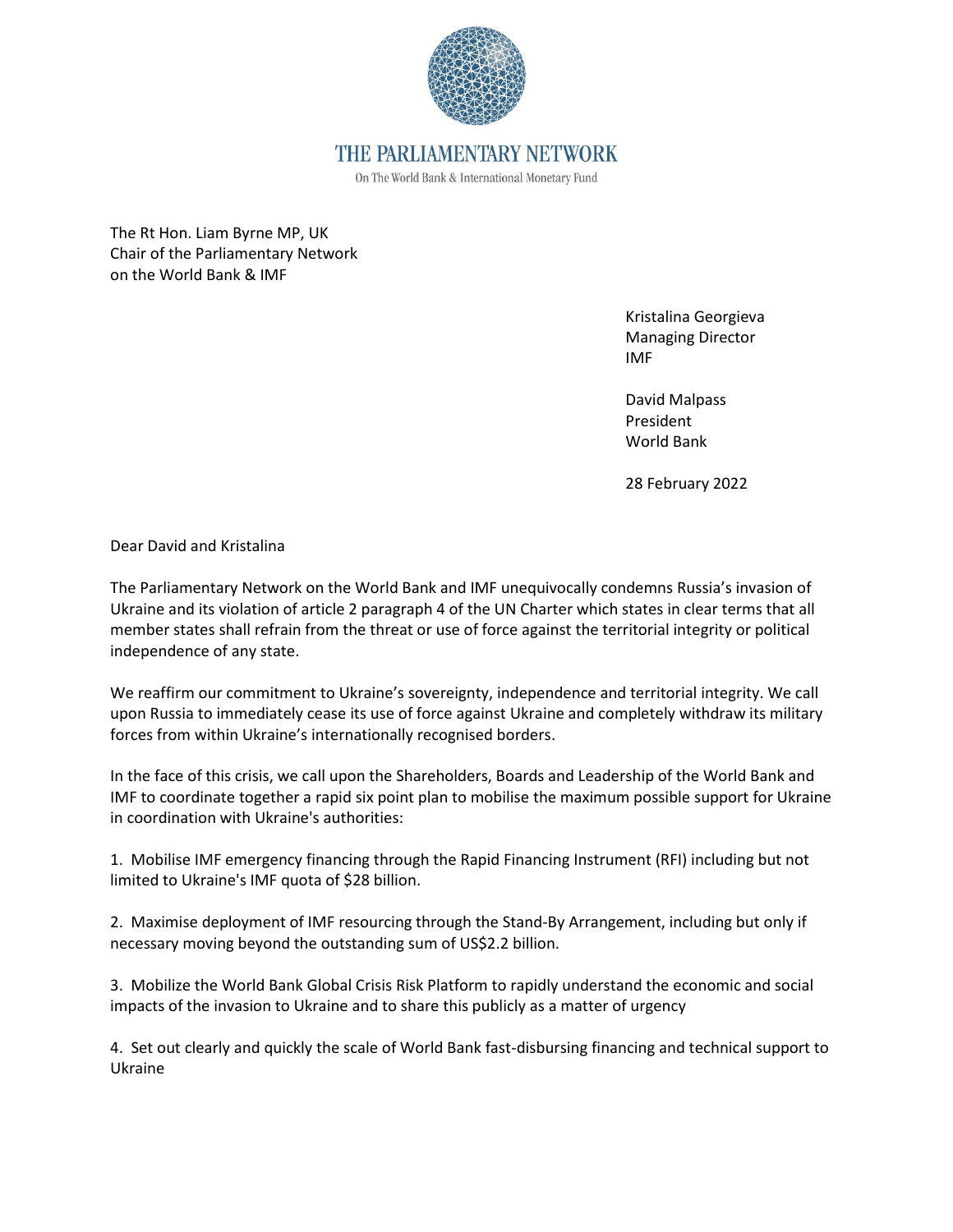

On The World Bank & International Monetary Fund

The Rt Hon. Liam Byrne MP, UK Chair of the Parliamentary Network on the World Bank & IMF

> Kristalina Georgieva Managing Director IMF

David Malpass President World Bank

28 February 2022

Dear David and Kristalina

The Parliamentary Network on the World Bank and IMF unequivocally condemns Russia's invasion of Ukraine and its violation of article 2 paragraph 4 of the UN Charter which states in clear terms that all member states shall refrain from the threat or use of force against the territorial integrity or political independence of any state.

We reaffirm our commitment to Ukraine's sovereignty, independence and territorial integrity. We call upon Russia to immediately cease its use of force against Ukraine and completely withdraw its military forces from within Ukraine's internationally recognised borders.

In the face of this crisis, we call upon the Shareholders, Boards and Leadership of the World Bank and IMF to coordinate together a rapid six point plan to mobilise the maximum possible support for Ukraine in coordination with Ukraine's authorities:

1. Mobilise IMF emergency financing through the Rapid Financing Instrument (RFI) including but not limited to Ukraine's IMF quota of \$28 billion.

2. Maximise deployment of IMF resourcing through the Stand-By Arrangement, including but only if necessary moving beyond the outstanding sum of US\$2.2 billion.

3. Mobilize the World Bank Global Crisis Risk Platform to rapidly understand the economic and social impacts of the invasion to Ukraine and to share this publicly as a matter of urgency

4. Set out clearly and quickly the scale of World Bank fast-disbursing financing and technical support to Ukraine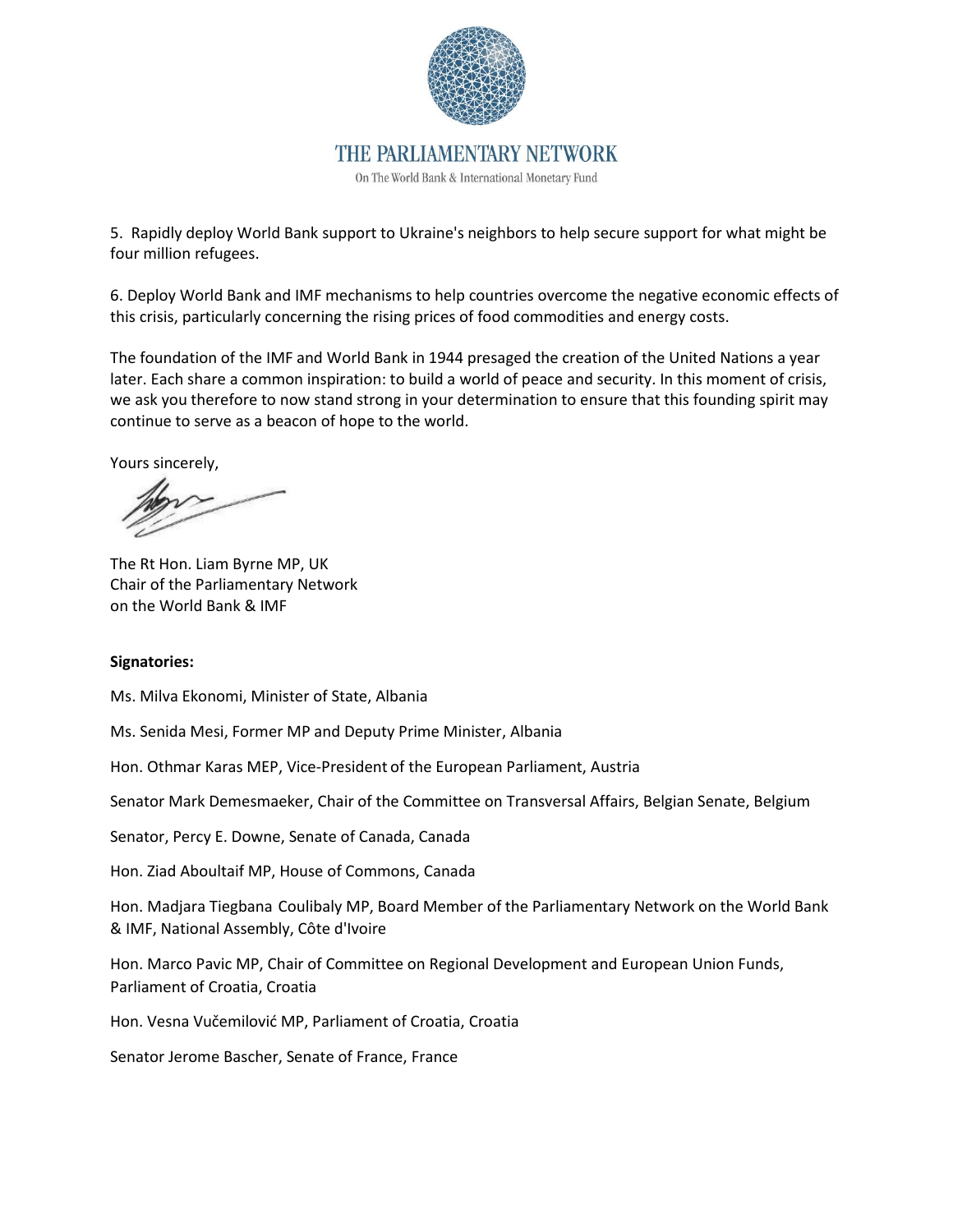

On The World Bank & International Monetary Fund

5. Rapidly deploy World Bank support to Ukraine's neighbors to help secure support for what might be four million refugees.

6. Deploy World Bank and IMF mechanisms to help countries overcome the negative economic effects of this crisis, particularly concerning the rising prices of food commodities and energy costs.

The foundation of the IMF and World Bank in 1944 presaged the creation of the United Nations a year later. Each share a common inspiration: to build a world of peace and security. In this moment of crisis, we ask you therefore to now stand strong in your determination to ensure that this founding spirit may continue to serve as a beacon of hope to the world.

Yours sincerely,

The Rt Hon. Liam Byrne MP, UK Chair of the Parliamentary Network on the World Bank & IMF

#### **Signatories:**

Ms. Milva Ekonomi, Minister of State, Albania

Ms. Senida Mesi, Former MP and Deputy Prime Minister, Albania

Hon. Othmar Karas MEP, Vice-President of the European Parliament, Austria

Senator Mark Demesmaeker, Chair of the Committee on Transversal Affairs, Belgian Senate, Belgium

Senator, Percy E. Downe, Senate of Canada, Canada

Hon. Ziad Aboultaif MP, House of Commons, Canada

Hon. Madjara Tiegbana Coulibaly MP, Board Member of the Parliamentary Network on the World Bank & IMF, National Assembly, Côte d'Ivoire

Hon. Marco Pavic MP, Chair of Committee on Regional Development and European Union Funds, Parliament of Croatia, Croatia

Hon. Vesna Vučemilović MP, Parliament of Croatia, Croatia

Senator Jerome Bascher, Senate of France, France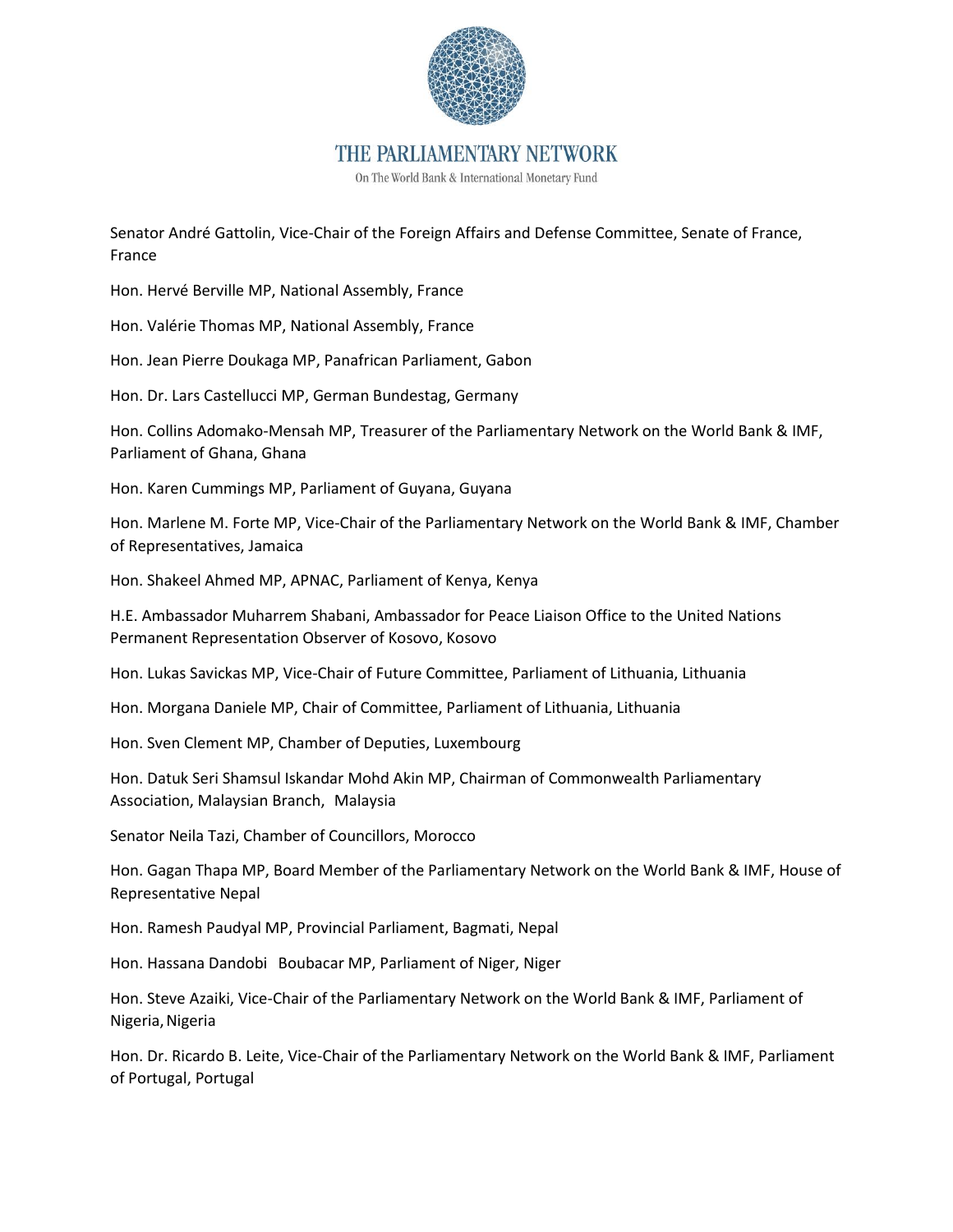

On The World Bank & International Monetary Fund

Senator André Gattolin, Vice-Chair of the Foreign Affairs and Defense Committee, Senate of France, France

Hon. Hervé Berville MP, National Assembly, France

Hon. Valérie Thomas MP, National Assembly, France

Hon. Jean Pierre Doukaga MP, Panafrican Parliament, Gabon

Hon. Dr. Lars Castellucci MP, German Bundestag, Germany

Hon. Collins Adomako-Mensah MP, Treasurer of the Parliamentary Network on the World Bank & IMF, Parliament of Ghana, Ghana

Hon. Karen Cummings MP, Parliament of Guyana, Guyana

Hon. Marlene M. Forte MP, Vice-Chair of the Parliamentary Network on the World Bank & IMF, Chamber of Representatives, Jamaica

Hon. Shakeel Ahmed MP, APNAC, Parliament of Kenya, Kenya

H.E. Ambassador Muharrem Shabani, Ambassador for Peace Liaison Office to the United Nations Permanent Representation Observer of Kosovo, Kosovo

Hon. Lukas Savickas MP, Vice-Chair of Future Committee, Parliament of Lithuania, Lithuania

Hon. Morgana Daniele MP, Chair of Committee, Parliament of Lithuania, Lithuania

Hon. Sven Clement MP, Chamber of Deputies, Luxembourg

Hon. Datuk Seri Shamsul Iskandar Mohd Akin MP, Chairman of Commonwealth Parliamentary Association, Malaysian Branch, Malaysia

Senator Neila Tazi, Chamber of Councillors, Morocco

Hon. Gagan Thapa MP, Board Member of the Parliamentary Network on the World Bank & IMF, House of Representative Nepal

Hon. Ramesh Paudyal MP, Provincial Parliament, Bagmati, Nepal

Hon. Hassana Dandobi Boubacar MP, Parliament of Niger, Niger

Hon. Steve Azaiki, Vice-Chair of the Parliamentary Network on the World Bank & IMF, Parliament of Nigeria, Nigeria

Hon. Dr. Ricardo B. Leite, Vice-Chair of the Parliamentary Network on the World Bank & IMF, Parliament of Portugal, Portugal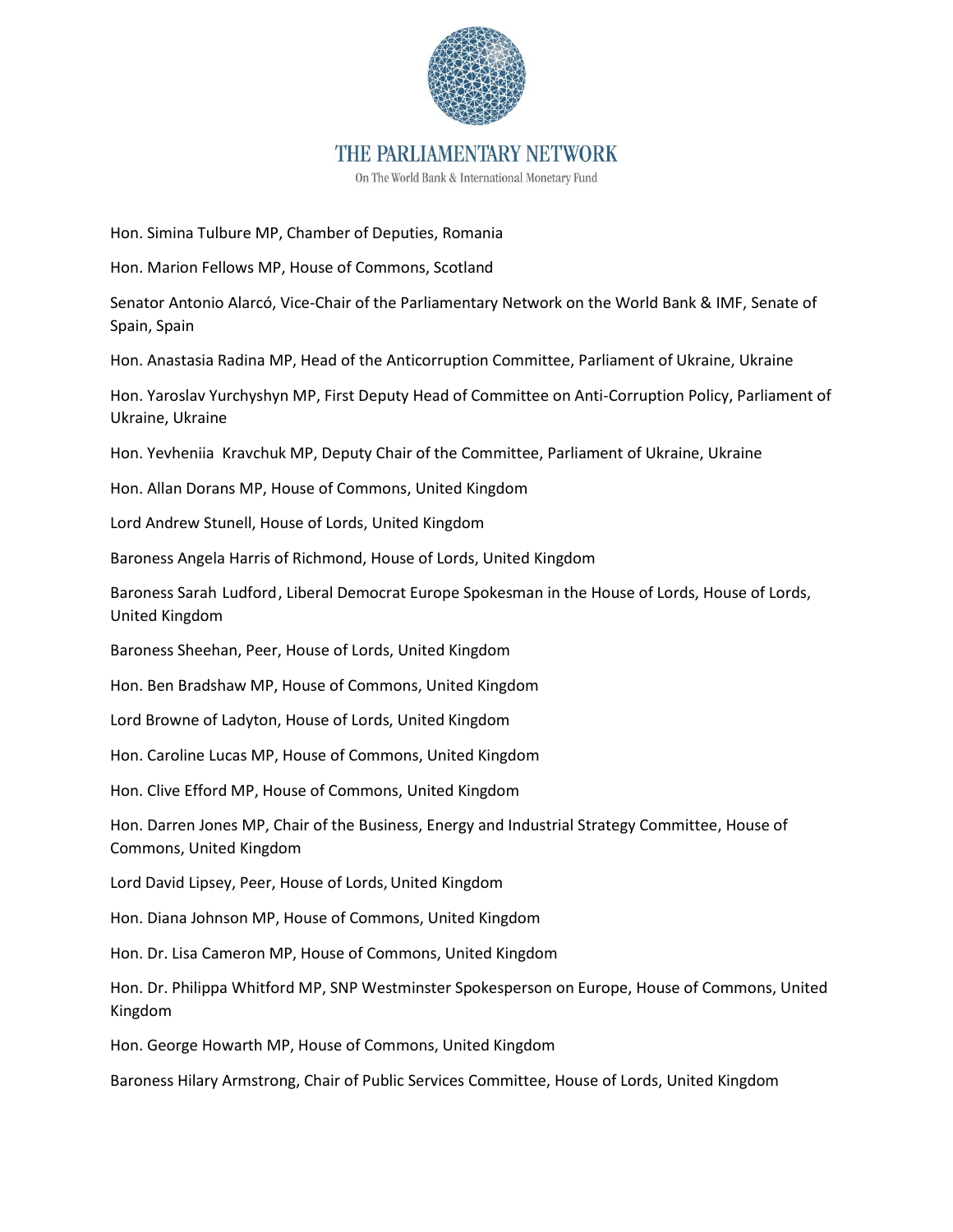

On The World Bank & International Monetary Fund

Hon. Simina Tulbure MP, Chamber of Deputies, Romania

Hon. Marion Fellows MP, House of Commons, Scotland

Senator Antonio Alarcó, Vice-Chair of the Parliamentary Network on the World Bank & IMF, Senate of Spain, Spain

Hon. Anastasia Radina MP, Head of the Anticorruption Committee, Parliament of Ukraine, Ukraine

Hon. Yaroslav Yurchyshyn MP, First Deputy Head of Committee on Anti-Corruption Policy, Parliament of Ukraine, Ukraine

Hon. Yevheniia Kravchuk MP, Deputy Chair of the Committee, Parliament of Ukraine, Ukraine

Hon. Allan Dorans MP, House of Commons, United Kingdom

Lord Andrew Stunell, House of Lords, United Kingdom

Baroness Angela Harris of Richmond, House of Lords, United Kingdom

Baroness Sarah Ludford, Liberal Democrat Europe Spokesman in the House of Lords, House of Lords, United Kingdom

Baroness Sheehan, Peer, House of Lords, United Kingdom

Hon. Ben Bradshaw MP, House of Commons, United Kingdom

Lord Browne of Ladyton, House of Lords, United Kingdom

Hon. Caroline Lucas MP, House of Commons, United Kingdom

Hon. Clive Efford MP, House of Commons, United Kingdom

Hon. Darren Jones MP, Chair of the Business, Energy and Industrial Strategy Committee, House of Commons, United Kingdom

Lord David Lipsey, Peer, House of Lords, United Kingdom

Hon. Diana Johnson MP, House of Commons, United Kingdom

Hon. Dr. Lisa Cameron MP, House of Commons, United Kingdom

Hon. Dr. Philippa Whitford MP, SNP Westminster Spokesperson on Europe, House of Commons, United Kingdom

Hon. George Howarth MP, House of Commons, United Kingdom

Baroness Hilary Armstrong, Chair of Public Services Committee, House of Lords, United Kingdom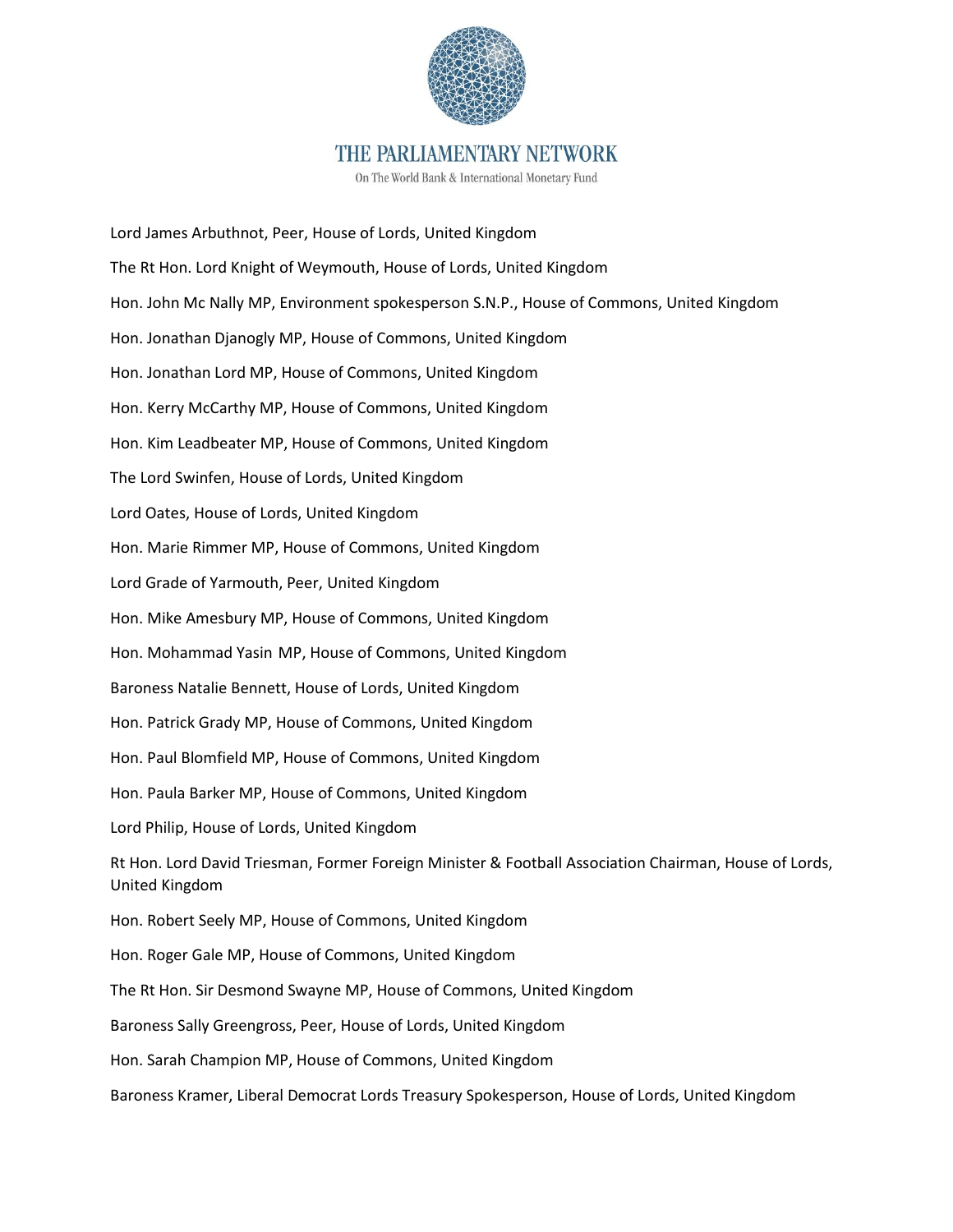

On The World Bank & International Monetary Fund

Lord James Arbuthnot, Peer, House of Lords, United Kingdom The Rt Hon. Lord Knight of Weymouth, House of Lords, United Kingdom Hon. John Mc Nally MP, Environment spokesperson S.N.P., House of Commons, United Kingdom Hon. Jonathan Djanogly MP, House of Commons, United Kingdom Hon. Jonathan Lord MP, House of Commons, United Kingdom Hon. Kerry McCarthy MP, House of Commons, United Kingdom Hon. Kim Leadbeater MP, House of Commons, United Kingdom The Lord Swinfen, House of Lords, United Kingdom Lord Oates, House of Lords, United Kingdom Hon. Marie Rimmer MP, House of Commons, United Kingdom Lord Grade of Yarmouth, Peer, United Kingdom Hon. Mike Amesbury MP, House of Commons, United Kingdom Hon. Mohammad Yasin MP, House of Commons, United Kingdom Baroness Natalie Bennett, House of Lords, United Kingdom Hon. Patrick Grady MP, House of Commons, United Kingdom Hon. Paul Blomfield MP, House of Commons, United Kingdom Hon. Paula Barker MP, House of Commons, United Kingdom Lord Philip, House of Lords, United Kingdom Rt Hon. Lord David Triesman, Former Foreign Minister & Football Association Chairman, House of Lords, United Kingdom Hon. Robert Seely MP, House of Commons, United Kingdom Hon. Roger Gale MP, House of Commons, United Kingdom The Rt Hon. Sir Desmond Swayne MP, House of Commons, United Kingdom Baroness Sally Greengross, Peer, House of Lords, United Kingdom Hon. Sarah Champion MP, House of Commons, United Kingdom Baroness Kramer, Liberal Democrat Lords Treasury Spokesperson, House of Lords, United Kingdom